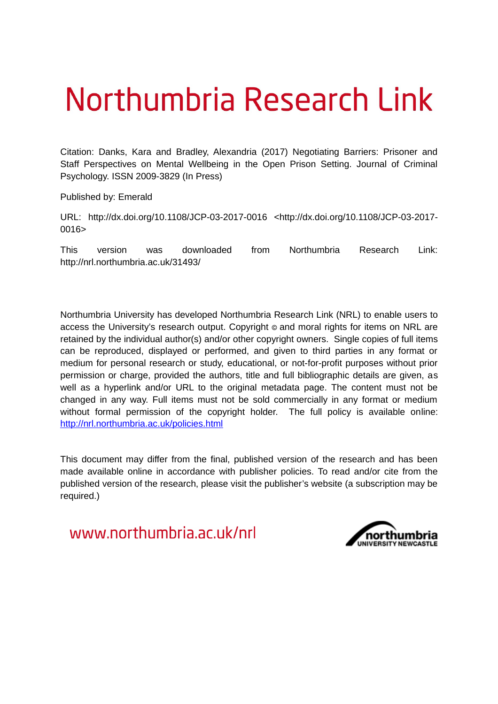# Northumbria Research Link

Citation: Danks, Kara and Bradley, Alexandria (2017) Negotiating Barriers: Prisoner and Staff Perspectives on Mental Wellbeing in the Open Prison Setting. Journal of Criminal Psychology. ISSN 2009-3829 (In Press)

Published by: Emerald

URL: http://dx.doi.org/10.1108/JCP-03-2017-0016 <http://dx.doi.org/10.1108/JCP-03-2017- 0016>

This version was downloaded from Northumbria Research Link: http://nrl.northumbria.ac.uk/31493/

Northumbria University has developed Northumbria Research Link (NRL) to enable users to access the University's research output. Copyright  $\circ$  and moral rights for items on NRL are retained by the individual author(s) and/or other copyright owners. Single copies of full items can be reproduced, displayed or performed, and given to third parties in any format or medium for personal research or study, educational, or not-for-profit purposes without prior permission or charge, provided the authors, title and full bibliographic details are given, as well as a hyperlink and/or URL to the original metadata page. The content must not be changed in any way. Full items must not be sold commercially in any format or medium without formal permission of the copyright holder. The full policy is available online: <http://nrl.northumbria.ac.uk/policies.html>

This document may differ from the final, published version of the research and has been made available online in accordance with publisher policies. To read and/or cite from the published version of the research, please visit the publisher's website (a subscription may be required.)

www.northumbria.ac.uk/nrl

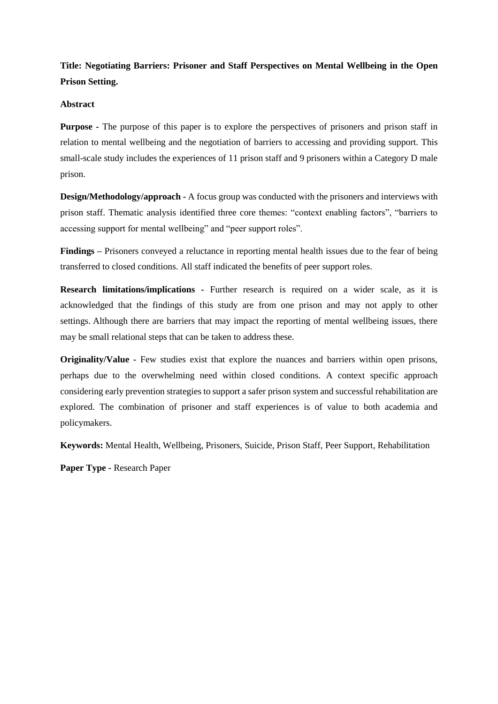**Title: Negotiating Barriers: Prisoner and Staff Perspectives on Mental Wellbeing in the Open Prison Setting.**

## **Abstract**

**Purpose -** The purpose of this paper is to explore the perspectives of prisoners and prison staff in relation to mental wellbeing and the negotiation of barriers to accessing and providing support. This small-scale study includes the experiences of 11 prison staff and 9 prisoners within a Category D male prison.

**Design/Methodology/approach -** A focus group was conducted with the prisoners and interviews with prison staff. Thematic analysis identified three core themes: "context enabling factors", "barriers to accessing support for mental wellbeing" and "peer support roles".

**Findings –** Prisoners conveyed a reluctance in reporting mental health issues due to the fear of being transferred to closed conditions. All staff indicated the benefits of peer support roles.

**Research limitations/implications -** Further research is required on a wider scale, as it is acknowledged that the findings of this study are from one prison and may not apply to other settings. Although there are barriers that may impact the reporting of mental wellbeing issues, there may be small relational steps that can be taken to address these.

**Originality/Value** - Few studies exist that explore the nuances and barriers within open prisons, perhaps due to the overwhelming need within closed conditions. A context specific approach considering early prevention strategies to support a safer prison system and successful rehabilitation are explored. The combination of prisoner and staff experiences is of value to both academia and policymakers.

**Keywords:** Mental Health, Wellbeing, Prisoners, Suicide, Prison Staff, Peer Support, Rehabilitation

**Paper Type -** Research Paper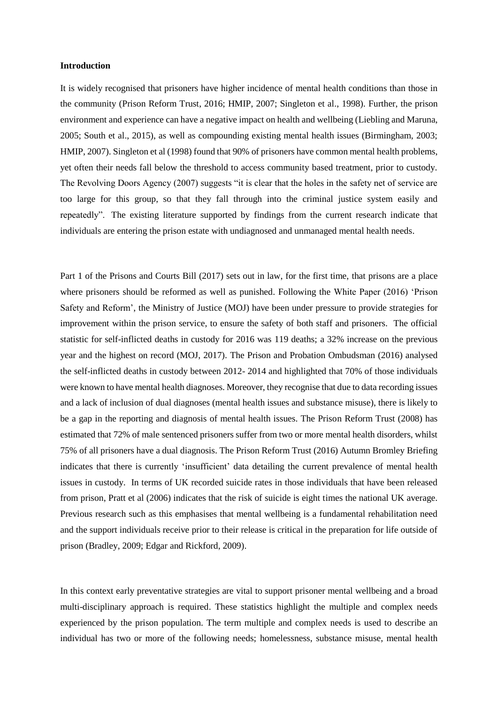#### **Introduction**

It is widely recognised that prisoners have higher incidence of mental health conditions than those in the community (Prison Reform Trust, 2016; HMIP, 2007; Singleton et al., 1998). Further, the prison environment and experience can have a negative impact on health and wellbeing (Liebling and Maruna, 2005; South et al., 2015), as well as compounding existing mental health issues (Birmingham, 2003; HMIP, 2007). Singleton et al (1998) found that 90% of prisoners have common mental health problems, yet often their needs fall below the threshold to access community based treatment, prior to custody. The Revolving Doors Agency (2007) suggests "it is clear that the holes in the safety net of service are too large for this group, so that they fall through into the criminal justice system easily and repeatedly". The existing literature supported by findings from the current research indicate that individuals are entering the prison estate with undiagnosed and unmanaged mental health needs.

Part 1 of the Prisons and Courts Bill (2017) sets out in law, for the first time, that prisons are a place where prisoners should be reformed as well as punished. Following the White Paper (2016) 'Prison Safety and Reform', the Ministry of Justice (MOJ) have been under pressure to provide strategies for improvement within the prison service, to ensure the safety of both staff and prisoners. The official statistic for self-inflicted deaths in custody for 2016 was 119 deaths; a 32% increase on the previous year and the highest on record (MOJ, 2017). The Prison and Probation Ombudsman (2016) analysed the self-inflicted deaths in custody between 2012- 2014 and highlighted that 70% of those individuals were known to have mental health diagnoses. Moreover, they recognise that due to data recording issues and a lack of inclusion of dual diagnoses (mental health issues and substance misuse), there is likely to be a gap in the reporting and diagnosis of mental health issues. The Prison Reform Trust (2008) has estimated that 72% of male sentenced prisoners suffer from two or more mental health disorders, whilst 75% of all prisoners have a dual diagnosis. The Prison Reform Trust (2016) Autumn Bromley Briefing indicates that there is currently 'insufficient' data detailing the current prevalence of mental health issues in custody. In terms of UK recorded suicide rates in those individuals that have been released from prison, Pratt et al (2006) indicates that the risk of suicide is eight times the national UK average. Previous research such as this emphasises that mental wellbeing is a fundamental rehabilitation need and the support individuals receive prior to their release is critical in the preparation for life outside of prison (Bradley, 2009; Edgar and Rickford, 2009).

In this context early preventative strategies are vital to support prisoner mental wellbeing and a broad multi-disciplinary approach is required. These statistics highlight the multiple and complex needs experienced by the prison population. The term multiple and complex needs is used to describe an individual has two or more of the following needs; homelessness, substance misuse, mental health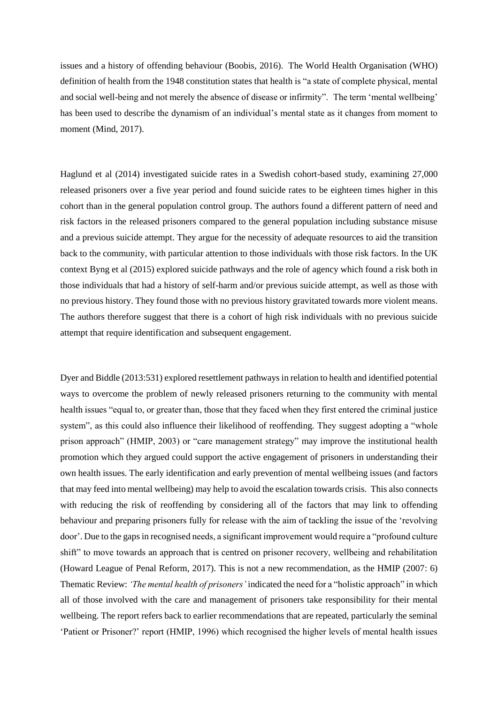issues and a history of offending behaviour (Boobis, 2016). The World Health Organisation (WHO) definition of health from the 1948 constitution states that health is "a state of complete physical, mental and social well-being and not merely the absence of disease or infirmity". The term 'mental wellbeing' has been used to describe the dynamism of an individual's mental state as it changes from moment to moment (Mind, 2017).

Haglund et al (2014) investigated suicide rates in a Swedish cohort-based study, examining 27,000 released prisoners over a five year period and found suicide rates to be eighteen times higher in this cohort than in the general population control group. The authors found a different pattern of need and risk factors in the released prisoners compared to the general population including substance misuse and a previous suicide attempt. They argue for the necessity of adequate resources to aid the transition back to the community, with particular attention to those individuals with those risk factors. In the UK context Byng et al (2015) explored suicide pathways and the role of agency which found a risk both in those individuals that had a history of self-harm and/or previous suicide attempt, as well as those with no previous history. They found those with no previous history gravitated towards more violent means. The authors therefore suggest that there is a cohort of high risk individuals with no previous suicide attempt that require identification and subsequent engagement.

Dyer and Biddle (2013:531) explored resettlement pathways in relation to health and identified potential ways to overcome the problem of newly released prisoners returning to the community with mental health issues "equal to, or greater than, those that they faced when they first entered the criminal justice system", as this could also influence their likelihood of reoffending. They suggest adopting a "whole" prison approach" (HMIP, 2003) or "care management strategy" may improve the institutional health promotion which they argued could support the active engagement of prisoners in understanding their own health issues. The early identification and early prevention of mental wellbeing issues (and factors that may feed into mental wellbeing) may help to avoid the escalation towards crisis. This also connects with reducing the risk of reoffending by considering all of the factors that may link to offending behaviour and preparing prisoners fully for release with the aim of tackling the issue of the 'revolving door'. Due to the gaps in recognised needs, a significant improvement would require a "profound culture shift" to move towards an approach that is centred on prisoner recovery, wellbeing and rehabilitation (Howard League of Penal Reform, 2017). This is not a new recommendation, as the HMIP (2007: 6) Thematic Review: *'The mental health of prisoners'* indicated the need for a "holistic approach" in which all of those involved with the care and management of prisoners take responsibility for their mental wellbeing. The report refers back to earlier recommendations that are repeated, particularly the seminal 'Patient or Prisoner?' report (HMIP, 1996) which recognised the higher levels of mental health issues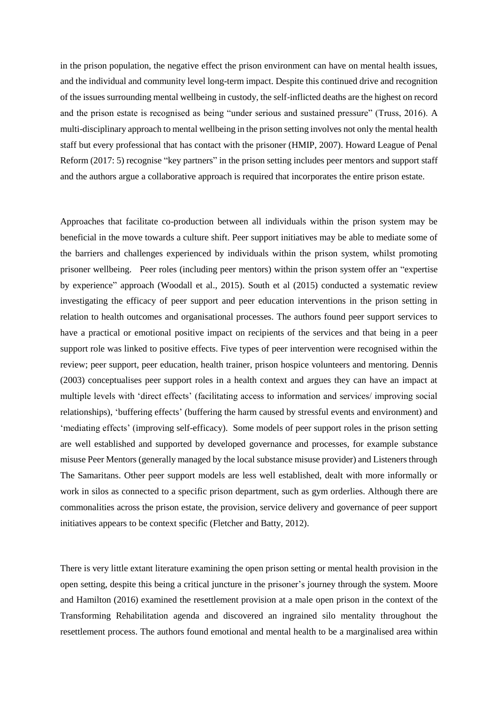in the prison population, the negative effect the prison environment can have on mental health issues, and the individual and community level long-term impact. Despite this continued drive and recognition of the issues surrounding mental wellbeing in custody, the self-inflicted deaths are the highest on record and the prison estate is recognised as being "under serious and sustained pressure" (Truss, 2016). A multi-disciplinary approach to mental wellbeing in the prison setting involves not only the mental health staff but every professional that has contact with the prisoner (HMIP, 2007). Howard League of Penal Reform (2017: 5) recognise "key partners" in the prison setting includes peer mentors and support staff and the authors argue a collaborative approach is required that incorporates the entire prison estate.

Approaches that facilitate co-production between all individuals within the prison system may be beneficial in the move towards a culture shift. Peer support initiatives may be able to mediate some of the barriers and challenges experienced by individuals within the prison system, whilst promoting prisoner wellbeing. Peer roles (including peer mentors) within the prison system offer an "expertise by experience" approach (Woodall et al., 2015). South et al (2015) conducted a systematic review investigating the efficacy of peer support and peer education interventions in the prison setting in relation to health outcomes and organisational processes. The authors found peer support services to have a practical or emotional positive impact on recipients of the services and that being in a peer support role was linked to positive effects. Five types of peer intervention were recognised within the review; peer support, peer education, health trainer, prison hospice volunteers and mentoring. Dennis (2003) conceptualises peer support roles in a health context and argues they can have an impact at multiple levels with 'direct effects' (facilitating access to information and services/ improving social relationships), 'buffering effects' (buffering the harm caused by stressful events and environment) and 'mediating effects' (improving self-efficacy). Some models of peer support roles in the prison setting are well established and supported by developed governance and processes, for example substance misuse Peer Mentors (generally managed by the local substance misuse provider) and Listeners through The Samaritans. Other peer support models are less well established, dealt with more informally or work in silos as connected to a specific prison department, such as gym orderlies. Although there are commonalities across the prison estate, the provision, service delivery and governance of peer support initiatives appears to be context specific (Fletcher and Batty, 2012).

There is very little extant literature examining the open prison setting or mental health provision in the open setting, despite this being a critical juncture in the prisoner's journey through the system. Moore and Hamilton (2016) examined the resettlement provision at a male open prison in the context of the Transforming Rehabilitation agenda and discovered an ingrained silo mentality throughout the resettlement process. The authors found emotional and mental health to be a marginalised area within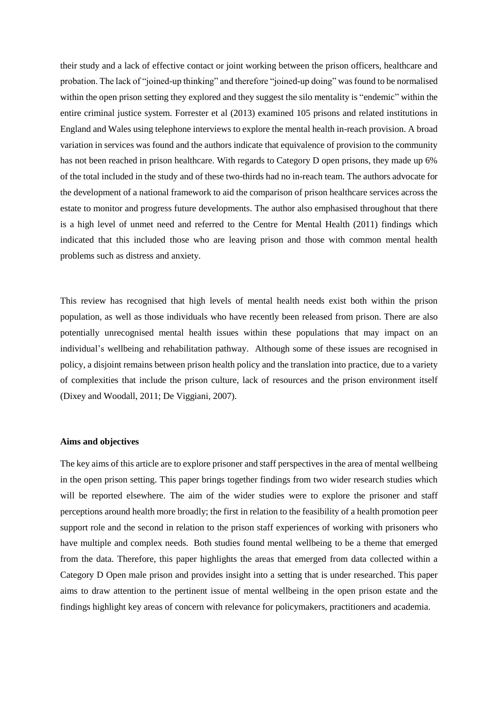their study and a lack of effective contact or joint working between the prison officers, healthcare and probation. The lack of "joined-up thinking" and therefore "joined-up doing" was found to be normalised within the open prison setting they explored and they suggest the silo mentality is "endemic" within the entire criminal justice system. Forrester et al (2013) examined 105 prisons and related institutions in England and Wales using telephone interviews to explore the mental health in-reach provision. A broad variation in services was found and the authors indicate that equivalence of provision to the community has not been reached in prison healthcare. With regards to Category D open prisons, they made up 6% of the total included in the study and of these two-thirds had no in-reach team. The authors advocate for the development of a national framework to aid the comparison of prison healthcare services across the estate to monitor and progress future developments. The author also emphasised throughout that there is a high level of unmet need and referred to the Centre for Mental Health (2011) findings which indicated that this included those who are leaving prison and those with common mental health problems such as distress and anxiety.

This review has recognised that high levels of mental health needs exist both within the prison population, as well as those individuals who have recently been released from prison. There are also potentially unrecognised mental health issues within these populations that may impact on an individual's wellbeing and rehabilitation pathway. Although some of these issues are recognised in policy, a disjoint remains between prison health policy and the translation into practice, due to a variety of complexities that include the prison culture, lack of resources and the prison environment itself (Dixey and Woodall, 2011; De Viggiani, 2007).

#### **Aims and objectives**

The key aims of this article are to explore prisoner and staff perspectives in the area of mental wellbeing in the open prison setting. This paper brings together findings from two wider research studies which will be reported elsewhere. The aim of the wider studies were to explore the prisoner and staff perceptions around health more broadly; the first in relation to the feasibility of a health promotion peer support role and the second in relation to the prison staff experiences of working with prisoners who have multiple and complex needs. Both studies found mental wellbeing to be a theme that emerged from the data. Therefore, this paper highlights the areas that emerged from data collected within a Category D Open male prison and provides insight into a setting that is under researched. This paper aims to draw attention to the pertinent issue of mental wellbeing in the open prison estate and the findings highlight key areas of concern with relevance for policymakers, practitioners and academia.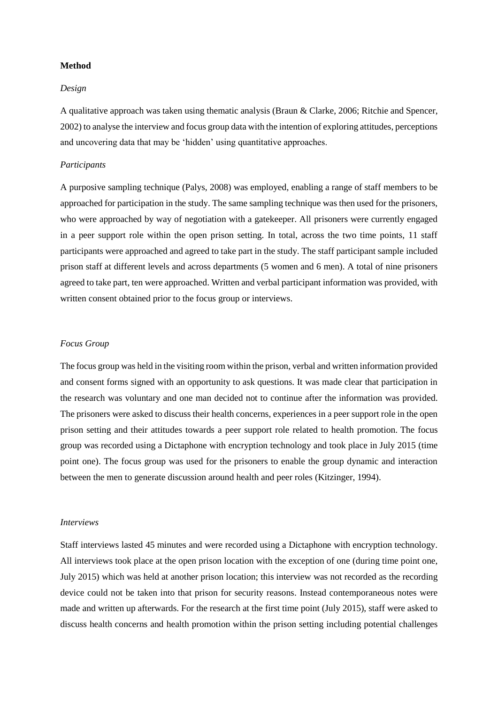#### **Method**

## *Design*

A qualitative approach was taken using thematic analysis (Braun & Clarke, 2006; Ritchie and Spencer, 2002) to analyse the interview and focus group data with the intention of exploring attitudes, perceptions and uncovering data that may be 'hidden' using quantitative approaches.

#### *Participants*

A purposive sampling technique (Palys, 2008) was employed, enabling a range of staff members to be approached for participation in the study. The same sampling technique was then used for the prisoners, who were approached by way of negotiation with a gatekeeper. All prisoners were currently engaged in a peer support role within the open prison setting. In total, across the two time points, 11 staff participants were approached and agreed to take part in the study. The staff participant sample included prison staff at different levels and across departments (5 women and 6 men). A total of nine prisoners agreed to take part, ten were approached. Written and verbal participant information was provided, with written consent obtained prior to the focus group or interviews.

# *Focus Group*

The focus group was held in the visiting room within the prison, verbal and written information provided and consent forms signed with an opportunity to ask questions. It was made clear that participation in the research was voluntary and one man decided not to continue after the information was provided. The prisoners were asked to discuss their health concerns, experiences in a peer support role in the open prison setting and their attitudes towards a peer support role related to health promotion. The focus group was recorded using a Dictaphone with encryption technology and took place in July 2015 (time point one). The focus group was used for the prisoners to enable the group dynamic and interaction between the men to generate discussion around health and peer roles (Kitzinger, 1994).

#### *Interviews*

Staff interviews lasted 45 minutes and were recorded using a Dictaphone with encryption technology. All interviews took place at the open prison location with the exception of one (during time point one, July 2015) which was held at another prison location; this interview was not recorded as the recording device could not be taken into that prison for security reasons. Instead contemporaneous notes were made and written up afterwards. For the research at the first time point (July 2015), staff were asked to discuss health concerns and health promotion within the prison setting including potential challenges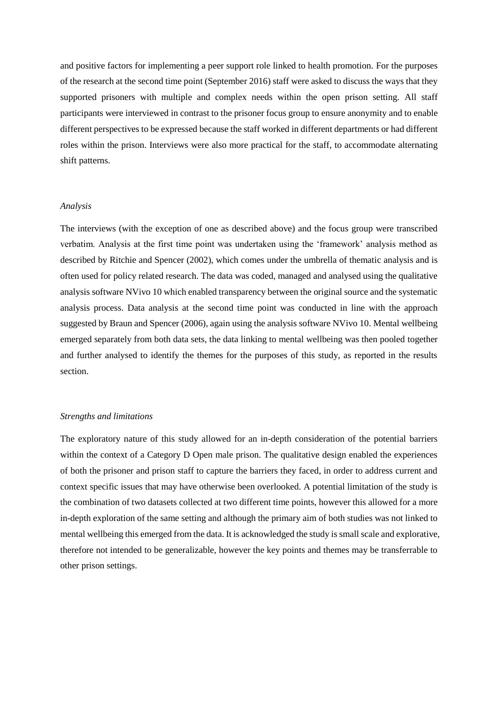and positive factors for implementing a peer support role linked to health promotion. For the purposes of the research at the second time point (September 2016) staff were asked to discuss the ways that they supported prisoners with multiple and complex needs within the open prison setting. All staff participants were interviewed in contrast to the prisoner focus group to ensure anonymity and to enable different perspectives to be expressed because the staff worked in different departments or had different roles within the prison. Interviews were also more practical for the staff, to accommodate alternating shift patterns.

## *Analysis*

The interviews (with the exception of one as described above) and the focus group were transcribed verbatim. Analysis at the first time point was undertaken using the 'framework' analysis method as described by Ritchie and Spencer (2002), which comes under the umbrella of thematic analysis and is often used for policy related research. The data was coded, managed and analysed using the qualitative analysis software NVivo 10 which enabled transparency between the original source and the systematic analysis process. Data analysis at the second time point was conducted in line with the approach suggested by Braun and Spencer (2006), again using the analysis software NVivo 10. Mental wellbeing emerged separately from both data sets, the data linking to mental wellbeing was then pooled together and further analysed to identify the themes for the purposes of this study, as reported in the results section.

# *Strengths and limitations*

The exploratory nature of this study allowed for an in-depth consideration of the potential barriers within the context of a Category D Open male prison. The qualitative design enabled the experiences of both the prisoner and prison staff to capture the barriers they faced, in order to address current and context specific issues that may have otherwise been overlooked. A potential limitation of the study is the combination of two datasets collected at two different time points, however this allowed for a more in-depth exploration of the same setting and although the primary aim of both studies was not linked to mental wellbeing this emerged from the data. It is acknowledged the study is small scale and explorative, therefore not intended to be generalizable, however the key points and themes may be transferrable to other prison settings.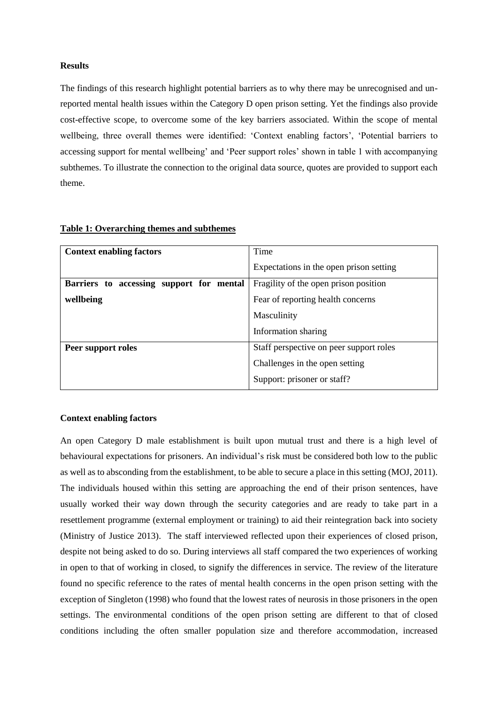#### **Results**

The findings of this research highlight potential barriers as to why there may be unrecognised and unreported mental health issues within the Category D open prison setting. Yet the findings also provide cost-effective scope, to overcome some of the key barriers associated. Within the scope of mental wellbeing, three overall themes were identified: 'Context enabling factors', 'Potential barriers to accessing support for mental wellbeing' and 'Peer support roles' shown in table 1 with accompanying subthemes. To illustrate the connection to the original data source, quotes are provided to support each theme.

| <b>Context enabling factors</b>          | Time                                    |
|------------------------------------------|-----------------------------------------|
|                                          | Expectations in the open prison setting |
| Barriers to accessing support for mental | Fragility of the open prison position   |
| wellbeing                                | Fear of reporting health concerns       |
|                                          | Masculinity                             |
|                                          | Information sharing                     |
| Peer support roles                       | Staff perspective on peer support roles |
|                                          | Challenges in the open setting          |
|                                          | Support: prisoner or staff?             |

# **Table 1: Overarching themes and subthemes**

#### **Context enabling factors**

An open Category D male establishment is built upon mutual trust and there is a high level of behavioural expectations for prisoners. An individual's risk must be considered both low to the public as well as to absconding from the establishment, to be able to secure a place in this setting (MOJ, 2011). The individuals housed within this setting are approaching the end of their prison sentences, have usually worked their way down through the security categories and are ready to take part in a resettlement programme (external employment or training) to aid their reintegration back into society (Ministry of Justice 2013). The staff interviewed reflected upon their experiences of closed prison, despite not being asked to do so. During interviews all staff compared the two experiences of working in open to that of working in closed, to signify the differences in service. The review of the literature found no specific reference to the rates of mental health concerns in the open prison setting with the exception of Singleton (1998) who found that the lowest rates of neurosis in those prisoners in the open settings. The environmental conditions of the open prison setting are different to that of closed conditions including the often smaller population size and therefore accommodation, increased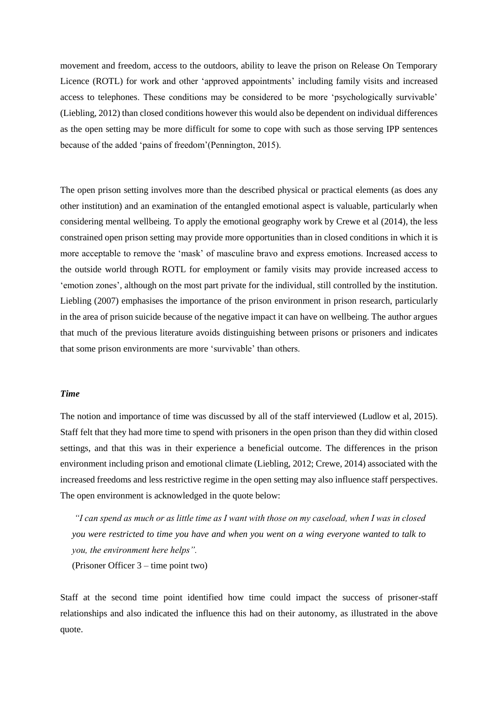movement and freedom, access to the outdoors, ability to leave the prison on Release On Temporary Licence (ROTL) for work and other 'approved appointments' including family visits and increased access to telephones. These conditions may be considered to be more 'psychologically survivable' (Liebling, 2012) than closed conditions however this would also be dependent on individual differences as the open setting may be more difficult for some to cope with such as those serving IPP sentences because of the added 'pains of freedom'(Pennington, 2015).

The open prison setting involves more than the described physical or practical elements (as does any other institution) and an examination of the entangled emotional aspect is valuable, particularly when considering mental wellbeing. To apply the emotional geography work by Crewe et al (2014), the less constrained open prison setting may provide more opportunities than in closed conditions in which it is more acceptable to remove the 'mask' of masculine bravo and express emotions. Increased access to the outside world through ROTL for employment or family visits may provide increased access to 'emotion zones', although on the most part private for the individual, still controlled by the institution. Liebling (2007) emphasises the importance of the prison environment in prison research, particularly in the area of prison suicide because of the negative impact it can have on wellbeing. The author argues that much of the previous literature avoids distinguishing between prisons or prisoners and indicates that some prison environments are more 'survivable' than others.

#### *Time*

The notion and importance of time was discussed by all of the staff interviewed (Ludlow et al, 2015). Staff felt that they had more time to spend with prisoners in the open prison than they did within closed settings, and that this was in their experience a beneficial outcome. The differences in the prison environment including prison and emotional climate (Liebling, 2012; Crewe, 2014) associated with the increased freedoms and less restrictive regime in the open setting may also influence staff perspectives. The open environment is acknowledged in the quote below:

*"I can spend as much or as little time as I want with those on my caseload, when I was in closed you were restricted to time you have and when you went on a wing everyone wanted to talk to you, the environment here helps".*

(Prisoner Officer 3 – time point two)

Staff at the second time point identified how time could impact the success of prisoner-staff relationships and also indicated the influence this had on their autonomy, as illustrated in the above quote.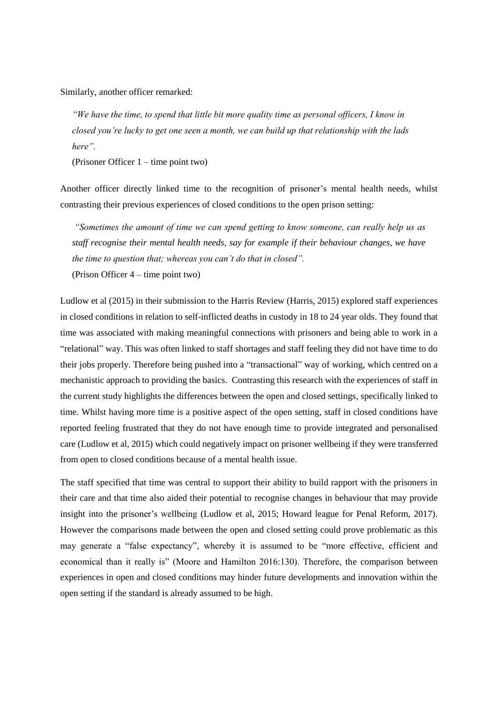Similarly, another officer remarked:

*"We have the time, to spend that little bit more quality time as personal officers, I know in closed you're lucky to get one seen a month, we can build up that relationship with the lads here".* 

(Prisoner Officer 1 – time point two)

Another officer directly linked time to the recognition of prisoner's mental health needs, whilst contrasting their previous experiences of closed conditions to the open prison setting:

*"Sometimes the amount of time we can spend getting to know someone, can really help us as staff recognise their mental health needs, say for example if their behaviour changes, we have the time to question that; whereas you can't do that in closed".*  (Prison Officer 4 – time point two)

Ludlow et al (2015) in their submission to the Harris Review (Harris, 2015) explored staff experiences in closed conditions in relation to self-inflicted deaths in custody in 18 to 24 year olds. They found that time was associated with making meaningful connections with prisoners and being able to work in a "relational" way. This was often linked to staff shortages and staff feeling they did not have time to do their jobs properly. Therefore being pushed into a "transactional" way of working, which centred on a mechanistic approach to providing the basics. Contrasting this research with the experiences of staff in the current study highlights the differences between the open and closed settings, specifically linked to time. Whilst having more time is a positive aspect of the open setting, staff in closed conditions have reported feeling frustrated that they do not have enough time to provide integrated and personalised care (Ludlow et al, 2015) which could negatively impact on prisoner wellbeing if they were transferred from open to closed conditions because of a mental health issue.

The staff specified that time was central to support their ability to build rapport with the prisoners in their care and that time also aided their potential to recognise changes in behaviour that may provide insight into the prisoner's wellbeing (Ludlow et al, 2015; Howard league for Penal Reform, 2017). However the comparisons made between the open and closed setting could prove problematic as this may generate a "false expectancy", whereby it is assumed to be "more effective, efficient and economical than it really is" (Moore and Hamilton 2016:130). Therefore, the comparison between experiences in open and closed conditions may hinder future developments and innovation within the open setting if the standard is already assumed to be high.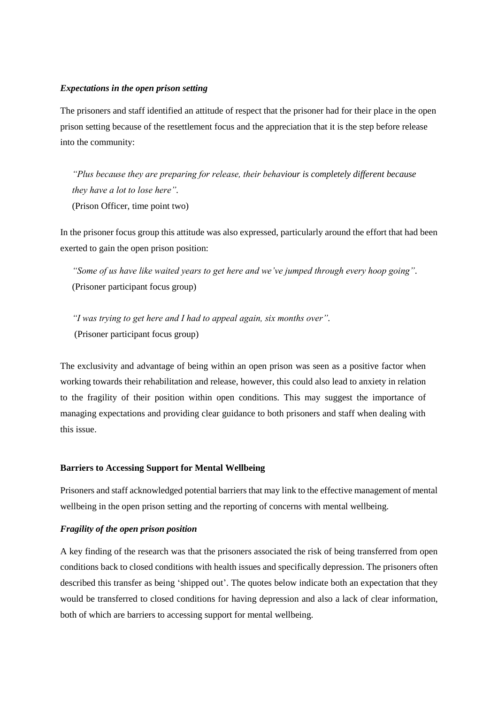## *Expectations in the open prison setting*

The prisoners and staff identified an attitude of respect that the prisoner had for their place in the open prison setting because of the resettlement focus and the appreciation that it is the step before release into the community:

*"Plus because they are preparing for release, their behaviour is completely different because they have a lot to lose here".* (Prison Officer, time point two)

In the prisoner focus group this attitude was also expressed, particularly around the effort that had been exerted to gain the open prison position:

*"Some of us have like waited years to get here and we've jumped through every hoop going".* (Prisoner participant focus group)

*"I was trying to get here and I had to appeal again, six months over".* (Prisoner participant focus group)

The exclusivity and advantage of being within an open prison was seen as a positive factor when working towards their rehabilitation and release, however, this could also lead to anxiety in relation to the fragility of their position within open conditions. This may suggest the importance of managing expectations and providing clear guidance to both prisoners and staff when dealing with this issue.

## **Barriers to Accessing Support for Mental Wellbeing**

Prisoners and staff acknowledged potential barriers that may link to the effective management of mental wellbeing in the open prison setting and the reporting of concerns with mental wellbeing.

## *Fragility of the open prison position*

A key finding of the research was that the prisoners associated the risk of being transferred from open conditions back to closed conditions with health issues and specifically depression. The prisoners often described this transfer as being 'shipped out'. The quotes below indicate both an expectation that they would be transferred to closed conditions for having depression and also a lack of clear information, both of which are barriers to accessing support for mental wellbeing.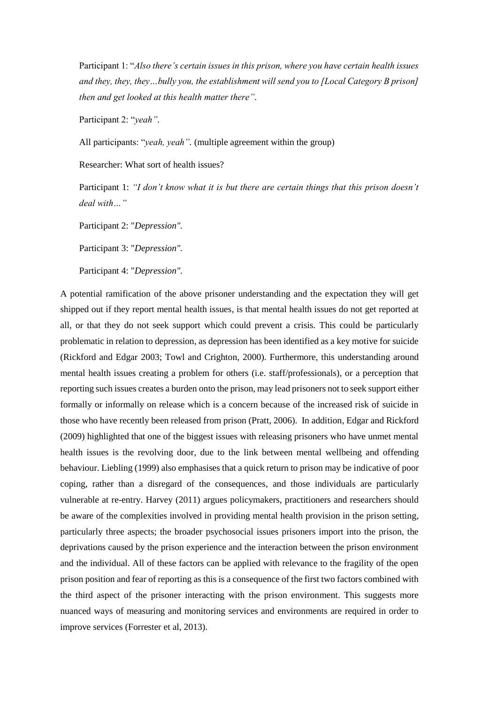Participant 1: "*Also there's certain issues in this prison, where you have certain health issues and they, they, they…bully you, the establishment will send you to [Local Category B prison] then and get looked at this health matter there".*

Participant 2: "*yeah".*

All participants: "*yeah, yeah".* (multiple agreement within the group)

Researcher: What sort of health issues?

Participant 1: *"I don't know what it is but there are certain things that this prison doesn't deal with…"*

Participant 2: "*Depression".*

Participant 3: "*Depression".*

Participant 4: "*Depression".*

A potential ramification of the above prisoner understanding and the expectation they will get shipped out if they report mental health issues, is that mental health issues do not get reported at all, or that they do not seek support which could prevent a crisis. This could be particularly problematic in relation to depression, as depression has been identified as a key motive for suicide (Rickford and Edgar 2003; Towl and Crighton, 2000). Furthermore, this understanding around mental health issues creating a problem for others (i.e. staff/professionals), or a perception that reporting such issues creates a burden onto the prison, may lead prisoners not to seek support either formally or informally on release which is a concern because of the increased risk of suicide in those who have recently been released from prison (Pratt, 2006). In addition, Edgar and Rickford (2009) highlighted that one of the biggest issues with releasing prisoners who have unmet mental health issues is the revolving door, due to the link between mental wellbeing and offending behaviour. Liebling (1999) also emphasises that a quick return to prison may be indicative of poor coping, rather than a disregard of the consequences, and those individuals are particularly vulnerable at re-entry. Harvey (2011) argues policymakers, practitioners and researchers should be aware of the complexities involved in providing mental health provision in the prison setting, particularly three aspects; the broader psychosocial issues prisoners import into the prison, the deprivations caused by the prison experience and the interaction between the prison environment and the individual. All of these factors can be applied with relevance to the fragility of the open prison position and fear of reporting as this is a consequence of the first two factors combined with the third aspect of the prisoner interacting with the prison environment. This suggests more nuanced ways of measuring and monitoring services and environments are required in order to improve services (Forrester et al, 2013).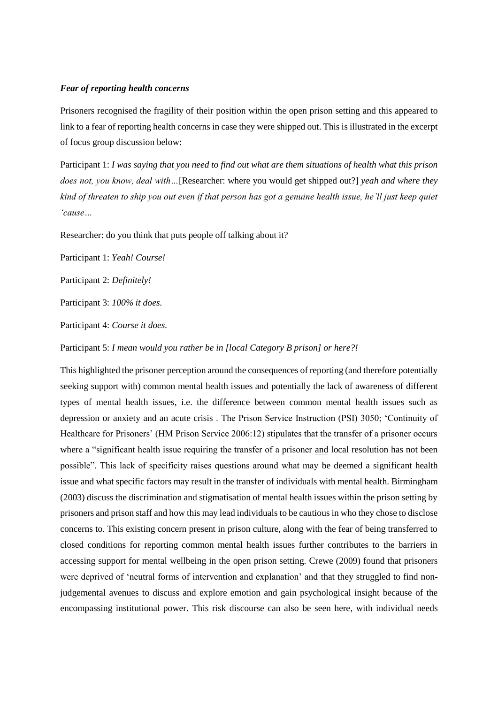#### *Fear of reporting health concerns*

Prisoners recognised the fragility of their position within the open prison setting and this appeared to link to a fear of reporting health concerns in case they were shipped out. This is illustrated in the excerpt of focus group discussion below:

Participant 1: *I was saying that you need to find out what are them situations of health what this prison does not, you know, deal with…*[Researcher: where you would get shipped out?] *yeah and where they kind of threaten to ship you out even if that person has got a genuine health issue, he'll just keep quiet 'cause…* 

Researcher: do you think that puts people off talking about it?

Participant 1: *Yeah! Course!*

Participant 2: *Definitely!*

Participant 3: *100% it does.*

Participant 4: *Course it does.*

Participant 5: *I mean would you rather be in [local Category B prison] or here?!*

This highlighted the prisoner perception around the consequences of reporting (and therefore potentially seeking support with) common mental health issues and potentially the lack of awareness of different types of mental health issues, i.e. the difference between common mental health issues such as depression or anxiety and an acute crisis . The Prison Service Instruction (PSI) 3050; 'Continuity of Healthcare for Prisoners' (HM Prison Service 2006:12) stipulates that the transfer of a prisoner occurs where a "significant health issue requiring the transfer of a prisoner and local resolution has not been possible". This lack of specificity raises questions around what may be deemed a significant health issue and what specific factors may result in the transfer of individuals with mental health. Birmingham (2003) discuss the discrimination and stigmatisation of mental health issues within the prison setting by prisoners and prison staff and how this may lead individuals to be cautious in who they chose to disclose concerns to. This existing concern present in prison culture, along with the fear of being transferred to closed conditions for reporting common mental health issues further contributes to the barriers in accessing support for mental wellbeing in the open prison setting. Crewe (2009) found that prisoners were deprived of 'neutral forms of intervention and explanation' and that they struggled to find nonjudgemental avenues to discuss and explore emotion and gain psychological insight because of the encompassing institutional power. This risk discourse can also be seen here, with individual needs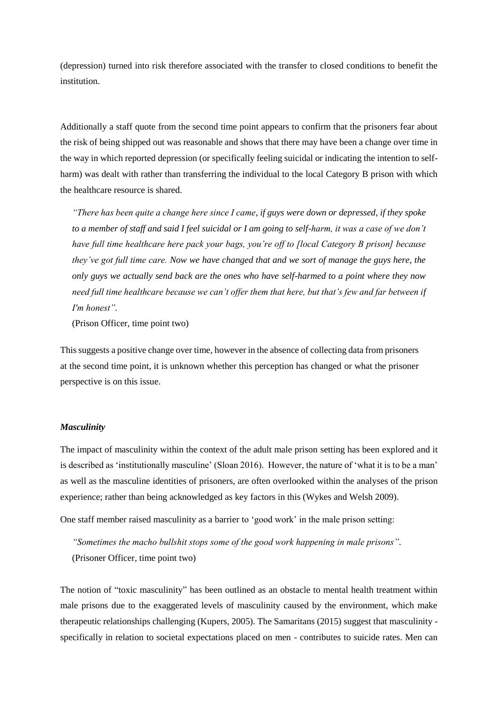(depression) turned into risk therefore associated with the transfer to closed conditions to benefit the institution.

Additionally a staff quote from the second time point appears to confirm that the prisoners fear about the risk of being shipped out was reasonable and shows that there may have been a change over time in the way in which reported depression (or specifically feeling suicidal or indicating the intention to selfharm) was dealt with rather than transferring the individual to the local Category B prison with which the healthcare resource is shared.

*"There has been quite a change here since I came, if guys were down or depressed, if they spoke to a member of staff and said I feel suicidal or I am going to self-harm, it was a case of we don't have full time healthcare here pack your bags, you're off to [local Category B prison] because they've got full time care. Now we have changed that and we sort of manage the guys here, the only guys we actually send back are the ones who have self-harmed to a point where they now need full time healthcare because we can't offer them that here, but that's few and far between if I'm honest".*

(Prison Officer, time point two)

This suggests a positive change over time, however in the absence of collecting data from prisoners at the second time point, it is unknown whether this perception has changed or what the prisoner perspective is on this issue.

# *Masculinity*

The impact of masculinity within the context of the adult male prison setting has been explored and it is described as 'institutionally masculine' (Sloan 2016). However, the nature of 'what it is to be a man' as well as the masculine identities of prisoners, are often overlooked within the analyses of the prison experience; rather than being acknowledged as key factors in this (Wykes and Welsh 2009).

One staff member raised masculinity as a barrier to 'good work' in the male prison setting:

*"Sometimes the macho bullshit stops some of the good work happening in male prisons".* (Prisoner Officer, time point two)

The notion of "toxic masculinity" has been outlined as an obstacle to mental health treatment within male prisons due to the exaggerated levels of masculinity caused by the environment, which make therapeutic relationships challenging (Kupers, 2005). The Samaritans (2015) suggest that masculinity specifically in relation to societal expectations placed on men - contributes to suicide rates. Men can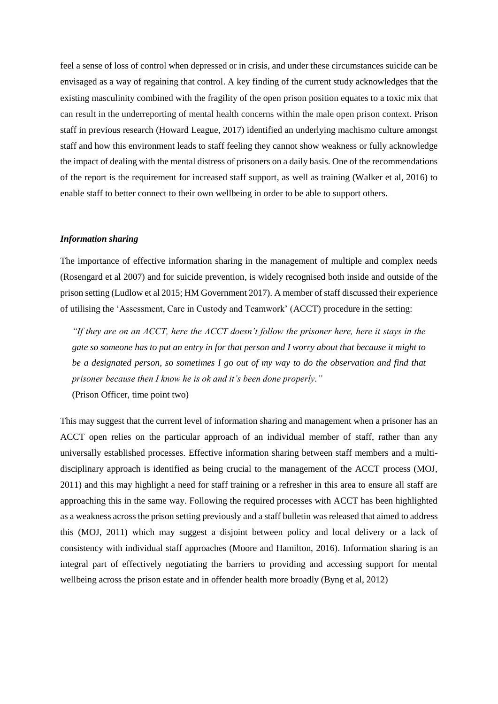feel a sense of loss of control when depressed or in crisis, and under these circumstances suicide can be envisaged as a way of regaining that control. A key finding of the current study acknowledges that the existing masculinity combined with the fragility of the open prison position equates to a toxic mix that can result in the underreporting of mental health concerns within the male open prison context. Prison staff in previous research (Howard League, 2017) identified an underlying machismo culture amongst staff and how this environment leads to staff feeling they cannot show weakness or fully acknowledge the impact of dealing with the mental distress of prisoners on a daily basis. One of the recommendations of the report is the requirement for increased staff support, as well as training (Walker et al, 2016) to enable staff to better connect to their own wellbeing in order to be able to support others.

## *Information sharing*

The importance of effective information sharing in the management of multiple and complex needs (Rosengard et al 2007) and for suicide prevention, is widely recognised both inside and outside of the prison setting (Ludlow et al 2015; HM Government 2017). A member of staff discussed their experience of utilising the 'Assessment, Care in Custody and Teamwork' (ACCT) procedure in the setting:

*"If they are on an ACCT, here the ACCT doesn't follow the prisoner here, here it stays in the gate so someone has to put an entry in for that person and I worry about that because it might to be a designated person, so sometimes I go out of my way to do the observation and find that prisoner because then I know he is ok and it's been done properly."*  (Prison Officer, time point two)

This may suggest that the current level of information sharing and management when a prisoner has an ACCT open relies on the particular approach of an individual member of staff, rather than any universally established processes. Effective information sharing between staff members and a multidisciplinary approach is identified as being crucial to the management of the ACCT process (MOJ, 2011) and this may highlight a need for staff training or a refresher in this area to ensure all staff are approaching this in the same way. Following the required processes with ACCT has been highlighted as a weakness across the prison setting previously and a staff bulletin was released that aimed to address this (MOJ, 2011) which may suggest a disjoint between policy and local delivery or a lack of consistency with individual staff approaches (Moore and Hamilton, 2016). Information sharing is an integral part of effectively negotiating the barriers to providing and accessing support for mental wellbeing across the prison estate and in offender health more broadly (Byng et al, 2012)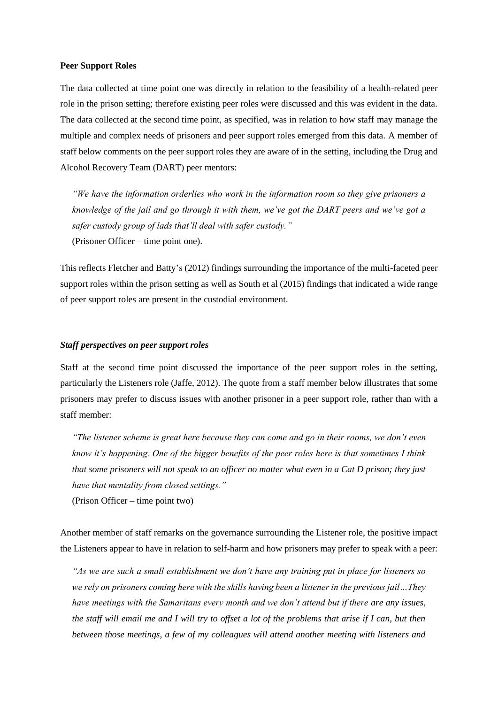#### **Peer Support Roles**

The data collected at time point one was directly in relation to the feasibility of a health-related peer role in the prison setting; therefore existing peer roles were discussed and this was evident in the data. The data collected at the second time point, as specified, was in relation to how staff may manage the multiple and complex needs of prisoners and peer support roles emerged from this data. A member of staff below comments on the peer support roles they are aware of in the setting, including the Drug and Alcohol Recovery Team (DART) peer mentors:

*"We have the information orderlies who work in the information room so they give prisoners a knowledge of the jail and go through it with them, we've got the DART peers and we've got a safer custody group of lads that'll deal with safer custody."*  (Prisoner Officer – time point one).

This reflects Fletcher and Batty's (2012) findings surrounding the importance of the multi-faceted peer support roles within the prison setting as well as South et al (2015) findings that indicated a wide range of peer support roles are present in the custodial environment.

#### *Staff perspectives on peer support roles*

Staff at the second time point discussed the importance of the peer support roles in the setting, particularly the Listeners role (Jaffe, 2012). The quote from a staff member below illustrates that some prisoners may prefer to discuss issues with another prisoner in a peer support role, rather than with a staff member:

*"The listener scheme is great here because they can come and go in their rooms, we don't even know it's happening. One of the bigger benefits of the peer roles here is that sometimes I think that some prisoners will not speak to an officer no matter what even in a Cat D prison; they just have that mentality from closed settings."* 

(Prison Officer – time point two)

Another member of staff remarks on the governance surrounding the Listener role, the positive impact the Listeners appear to have in relation to self-harm and how prisoners may prefer to speak with a peer:

*"As we are such a small establishment we don't have any training put in place for listeners so we rely on prisoners coming here with the skills having been a listener in the previous jail…They have meetings with the Samaritans every month and we don't attend but if there are any issues, the staff will email me and I will try to offset a lot of the problems that arise if I can, but then between those meetings, a few of my colleagues will attend another meeting with listeners and*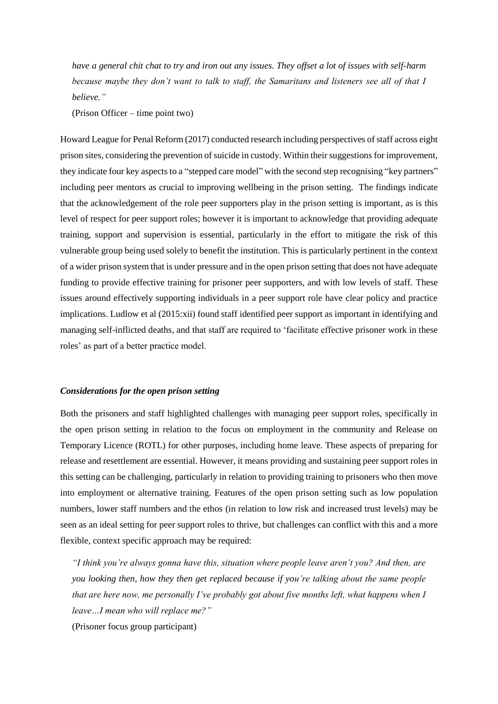*have a general chit chat to try and iron out any issues. They offset a lot of issues with self-harm because maybe they don't want to talk to staff, the Samaritans and listeners see all of that I believe."* 

(Prison Officer – time point two)

Howard League for Penal Reform (2017) conducted research including perspectives of staff across eight prison sites, considering the prevention of suicide in custody. Within their suggestions for improvement, they indicate four key aspects to a "stepped care model" with the second step recognising "key partners" including peer mentors as crucial to improving wellbeing in the prison setting. The findings indicate that the acknowledgement of the role peer supporters play in the prison setting is important, as is this level of respect for peer support roles; however it is important to acknowledge that providing adequate training, support and supervision is essential, particularly in the effort to mitigate the risk of this vulnerable group being used solely to benefit the institution. This is particularly pertinent in the context of a wider prison system that is under pressure and in the open prison setting that does not have adequate funding to provide effective training for prisoner peer supporters, and with low levels of staff. These issues around effectively supporting individuals in a peer support role have clear policy and practice implications. Ludlow et al (2015:xii) found staff identified peer support as important in identifying and managing self-inflicted deaths, and that staff are required to 'facilitate effective prisoner work in these roles' as part of a better practice model.

#### *Considerations for the open prison setting*

Both the prisoners and staff highlighted challenges with managing peer support roles, specifically in the open prison setting in relation to the focus on employment in the community and Release on Temporary Licence (ROTL) for other purposes, including home leave. These aspects of preparing for release and resettlement are essential. However, it means providing and sustaining peer support roles in this setting can be challenging, particularly in relation to providing training to prisoners who then move into employment or alternative training. Features of the open prison setting such as low population numbers, lower staff numbers and the ethos (in relation to low risk and increased trust levels) may be seen as an ideal setting for peer support roles to thrive, but challenges can conflict with this and a more flexible, context specific approach may be required:

*"I think you're always gonna have this, situation where people leave aren't you? And then, are you looking then, how they then get replaced because if you're talking about the same people that are here now, me personally I've probably got about five months left, what happens when I leave…I mean who will replace me?"*

(Prisoner focus group participant)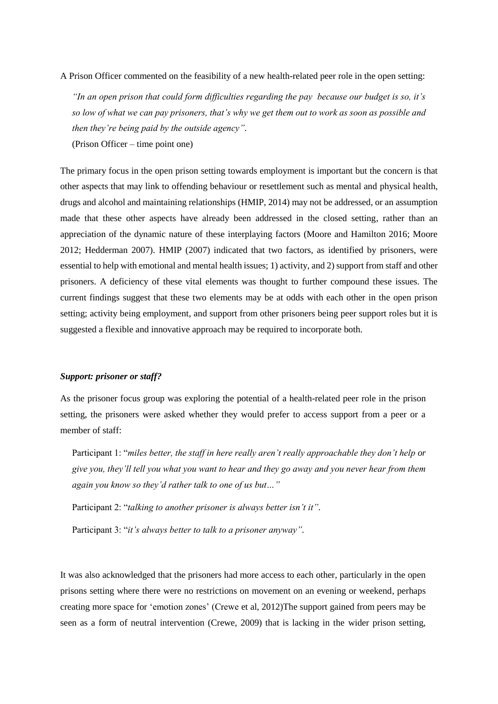A Prison Officer commented on the feasibility of a new health-related peer role in the open setting:

*"In an open prison that could form difficulties regarding the pay because our budget is so, it's so low of what we can pay prisoners, that's why we get them out to work as soon as possible and then they're being paid by the outside agency".* (Prison Officer – time point one)

The primary focus in the open prison setting towards employment is important but the concern is that other aspects that may link to offending behaviour or resettlement such as mental and physical health, drugs and alcohol and maintaining relationships (HMIP, 2014) may not be addressed, or an assumption made that these other aspects have already been addressed in the closed setting, rather than an appreciation of the dynamic nature of these interplaying factors (Moore and Hamilton 2016; Moore 2012; Hedderman 2007). HMIP (2007) indicated that two factors, as identified by prisoners, were essential to help with emotional and mental health issues; 1) activity, and 2) support from staff and other prisoners. A deficiency of these vital elements was thought to further compound these issues. The current findings suggest that these two elements may be at odds with each other in the open prison setting; activity being employment, and support from other prisoners being peer support roles but it is suggested a flexible and innovative approach may be required to incorporate both.

## *Support: prisoner or staff?*

As the prisoner focus group was exploring the potential of a health-related peer role in the prison setting, the prisoners were asked whether they would prefer to access support from a peer or a member of staff:

Participant 1: "*miles better, the staff in here really aren't really approachable they don't help or give you, they'll tell you what you want to hear and they go away and you never hear from them again you know so they'd rather talk to one of us but…"*

Participant 2: "*talking to another prisoner is always better isn't it".*

Participant 3: "*it's always better to talk to a prisoner anyway".*

It was also acknowledged that the prisoners had more access to each other, particularly in the open prisons setting where there were no restrictions on movement on an evening or weekend, perhaps creating more space for 'emotion zones' (Crewe et al, 2012)The support gained from peers may be seen as a form of neutral intervention (Crewe, 2009) that is lacking in the wider prison setting,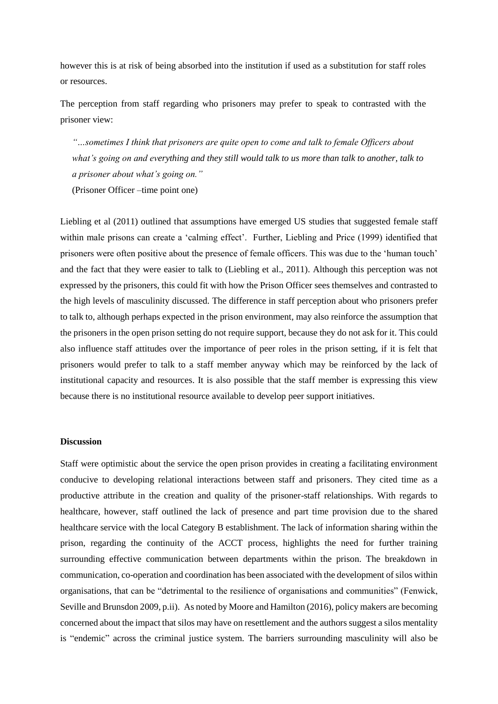however this is at risk of being absorbed into the institution if used as a substitution for staff roles or resources.

The perception from staff regarding who prisoners may prefer to speak to contrasted with the prisoner view:

*"…sometimes I think that prisoners are quite open to come and talk to female Officers about what's going on and everything and they still would talk to us more than talk to another, talk to a prisoner about what's going on."* 

(Prisoner Officer –time point one)

Liebling et al (2011) outlined that assumptions have emerged US studies that suggested female staff within male prisons can create a 'calming effect'. Further, Liebling and Price (1999) identified that prisoners were often positive about the presence of female officers. This was due to the 'human touch' and the fact that they were easier to talk to (Liebling et al., 2011). Although this perception was not expressed by the prisoners, this could fit with how the Prison Officer sees themselves and contrasted to the high levels of masculinity discussed. The difference in staff perception about who prisoners prefer to talk to, although perhaps expected in the prison environment, may also reinforce the assumption that the prisoners in the open prison setting do not require support, because they do not ask for it. This could also influence staff attitudes over the importance of peer roles in the prison setting, if it is felt that prisoners would prefer to talk to a staff member anyway which may be reinforced by the lack of institutional capacity and resources. It is also possible that the staff member is expressing this view because there is no institutional resource available to develop peer support initiatives.

#### **Discussion**

Staff were optimistic about the service the open prison provides in creating a facilitating environment conducive to developing relational interactions between staff and prisoners. They cited time as a productive attribute in the creation and quality of the prisoner-staff relationships. With regards to healthcare, however, staff outlined the lack of presence and part time provision due to the shared healthcare service with the local Category B establishment. The lack of information sharing within the prison, regarding the continuity of the ACCT process, highlights the need for further training surrounding effective communication between departments within the prison. The breakdown in communication, co-operation and coordination has been associated with the development of silos within organisations, that can be "detrimental to the resilience of organisations and communities" (Fenwick, Seville and Brunsdon 2009, p.ii). As noted by Moore and Hamilton (2016), policy makers are becoming concerned about the impact that silos may have on resettlement and the authors suggest a silos mentality is "endemic" across the criminal justice system. The barriers surrounding masculinity will also be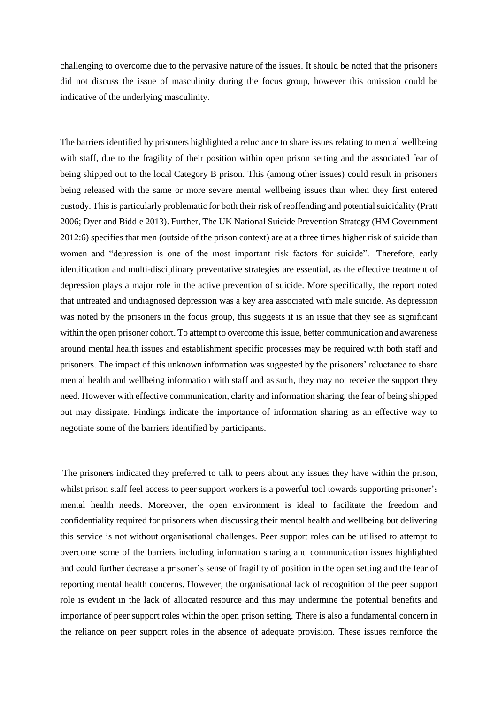challenging to overcome due to the pervasive nature of the issues. It should be noted that the prisoners did not discuss the issue of masculinity during the focus group, however this omission could be indicative of the underlying masculinity.

The barriers identified by prisoners highlighted a reluctance to share issues relating to mental wellbeing with staff, due to the fragility of their position within open prison setting and the associated fear of being shipped out to the local Category B prison. This (among other issues) could result in prisoners being released with the same or more severe mental wellbeing issues than when they first entered custody. This is particularly problematic for both their risk of reoffending and potential suicidality (Pratt 2006; Dyer and Biddle 2013). Further, The UK National Suicide Prevention Strategy (HM Government 2012:6) specifies that men (outside of the prison context) are at a three times higher risk of suicide than women and "depression is one of the most important risk factors for suicide". Therefore, early identification and multi-disciplinary preventative strategies are essential, as the effective treatment of depression plays a major role in the active prevention of suicide. More specifically, the report noted that untreated and undiagnosed depression was a key area associated with male suicide. As depression was noted by the prisoners in the focus group, this suggests it is an issue that they see as significant within the open prisoner cohort. To attempt to overcome this issue, better communication and awareness around mental health issues and establishment specific processes may be required with both staff and prisoners. The impact of this unknown information was suggested by the prisoners' reluctance to share mental health and wellbeing information with staff and as such, they may not receive the support they need. However with effective communication, clarity and information sharing, the fear of being shipped out may dissipate. Findings indicate the importance of information sharing as an effective way to negotiate some of the barriers identified by participants.

The prisoners indicated they preferred to talk to peers about any issues they have within the prison, whilst prison staff feel access to peer support workers is a powerful tool towards supporting prisoner's mental health needs. Moreover, the open environment is ideal to facilitate the freedom and confidentiality required for prisoners when discussing their mental health and wellbeing but delivering this service is not without organisational challenges. Peer support roles can be utilised to attempt to overcome some of the barriers including information sharing and communication issues highlighted and could further decrease a prisoner's sense of fragility of position in the open setting and the fear of reporting mental health concerns. However, the organisational lack of recognition of the peer support role is evident in the lack of allocated resource and this may undermine the potential benefits and importance of peer support roles within the open prison setting. There is also a fundamental concern in the reliance on peer support roles in the absence of adequate provision. These issues reinforce the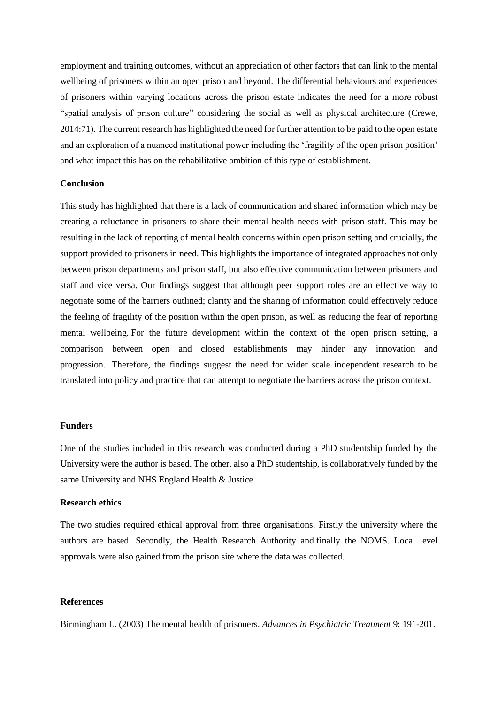employment and training outcomes, without an appreciation of other factors that can link to the mental wellbeing of prisoners within an open prison and beyond. The differential behaviours and experiences of prisoners within varying locations across the prison estate indicates the need for a more robust "spatial analysis of prison culture" considering the social as well as physical architecture (Crewe, 2014:71). The current research has highlighted the need for further attention to be paid to the open estate and an exploration of a nuanced institutional power including the 'fragility of the open prison position' and what impact this has on the rehabilitative ambition of this type of establishment.

# **Conclusion**

This study has highlighted that there is a lack of communication and shared information which may be creating a reluctance in prisoners to share their mental health needs with prison staff. This may be resulting in the lack of reporting of mental health concerns within open prison setting and crucially, the support provided to prisoners in need. This highlights the importance of integrated approaches not only between prison departments and prison staff, but also effective communication between prisoners and staff and vice versa. Our findings suggest that although peer support roles are an effective way to negotiate some of the barriers outlined; clarity and the sharing of information could effectively reduce the feeling of fragility of the position within the open prison, as well as reducing the fear of reporting mental wellbeing. For the future development within the context of the open prison setting, a comparison between open and closed establishments may hinder any innovation and progression. Therefore, the findings suggest the need for wider scale independent research to be translated into policy and practice that can attempt to negotiate the barriers across the prison context.

# **Funders**

One of the studies included in this research was conducted during a PhD studentship funded by the University were the author is based. The other, also a PhD studentship, is collaboratively funded by the same University and NHS England Health & Justice.

# **Research ethics**

The two studies required ethical approval from three organisations. Firstly the university where the authors are based. Secondly, the Health Research Authority and finally the NOMS. Local level approvals were also gained from the prison site where the data was collected.

# **References**

Birmingham L. (2003) The mental health of prisoners. *Advances in Psychiatric Treatment* 9: 191-201.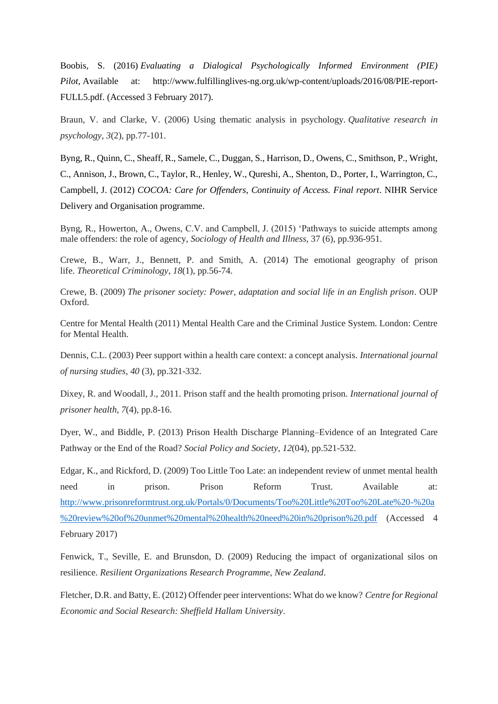Boobis, S. (2016) *Evaluating a Dialogical Psychologically Informed Environment (PIE) Pilot,* Available at: http://www.fulfillinglives-ng.org.uk/wp-content/uploads/2016/08/PIE-report-FULL5.pdf. (Accessed 3 February 2017).

Braun, V. and Clarke, V. (2006) Using thematic analysis in psychology. *Qualitative research in psychology*, *3*(2), pp.77-101.

Byng, R., Quinn, C., Sheaff, R., Samele, C., Duggan, S., Harrison, D., Owens, C., Smithson, P., Wright, C., Annison, J., Brown, C., Taylor, R., Henley, W., Qureshi, A., Shenton, D., Porter, I., Warrington, C., Campbell, J. (2012) *COCOA: Care for Offenders, Continuity of Access. Final report*. NIHR Service Delivery and Organisation programme.

Byng, R., Howerton, A., Owens, C.V. and Campbell, J. (2015) 'Pathways to suicide attempts among male offenders: the role of agency, *Sociology of Health and Illness,* 37 (6), pp.936-951.

Crewe, B., Warr, J., Bennett, P. and Smith, A. (2014) The emotional geography of prison life. *Theoretical Criminology*, *18*(1), pp.56-74.

Crewe, B. (2009) *The prisoner society: Power, adaptation and social life in an English prison*. OUP Oxford.

Centre for Mental Health (2011) Mental Health Care and the Criminal Justice System. London: Centre for Mental Health.

Dennis, C.L. (2003) Peer support within a health care context: a concept analysis. *International journal of nursing studies*, *40* (3), pp.321-332.

Dixey, R. and Woodall, J., 2011. Prison staff and the health promoting prison. *International journal of prisoner health*, *7*(4), pp.8-16.

Dyer, W., and Biddle, P. (2013) Prison Health Discharge Planning–Evidence of an Integrated Care Pathway or the End of the Road? *Social Policy and Society*, *12*(04), pp.521-532.

Edgar, K., and Rickford, D. (2009) Too Little Too Late: an independent review of unmet mental health need in prison. Prison Reform Trust. Available at: [http://www.prisonreformtrust.org.uk/Portals/0/Documents/Too%20Little%20Too%20Late%20-%20a](http://www.prisonreformtrust.org.uk/Portals/0/Documents/Too%20Little%20Too%20Late%20-%20a%20review%20of%20unmet%20mental%20health%20need%20in%20prison%20.pdf) [%20review%20of%20unmet%20mental%20health%20need%20in%20prison%20.pdf](http://www.prisonreformtrust.org.uk/Portals/0/Documents/Too%20Little%20Too%20Late%20-%20a%20review%20of%20unmet%20mental%20health%20need%20in%20prison%20.pdf) (Accessed 4 February 2017)

Fenwick, T., Seville, E. and Brunsdon, D. (2009) Reducing the impact of organizational silos on resilience. *Resilient Organizations Research Programme, New Zealand*.

Fletcher, D.R. and Batty, E. (2012) Offender peer interventions: What do we know? *Centre for Regional Economic and Social Research: Sheffield Hallam University*.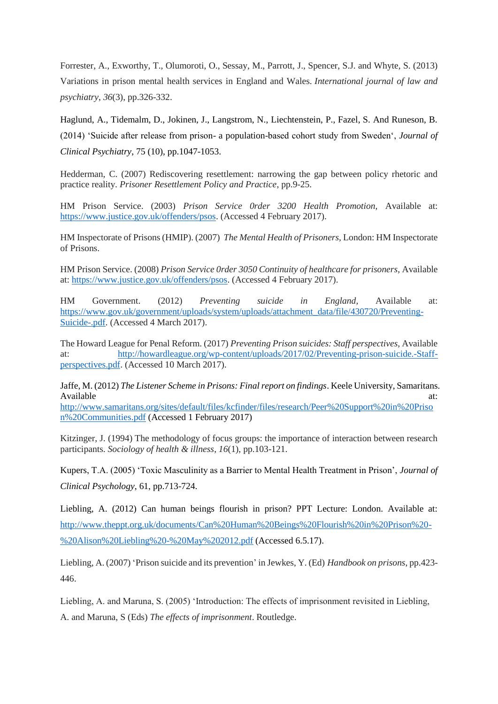Forrester, A., Exworthy, T., Olumoroti, O., Sessay, M., Parrott, J., Spencer, S.J. and Whyte, S. (2013) Variations in prison mental health services in England and Wales. *International journal of law and psychiatry*, *36*(3), pp.326-332.

Haglund, A., Tidemalm, D., Jokinen, J., Langstrom, N., Liechtenstein, P., Fazel, S. And Runeson, B. (2014) 'Suicide after release from prison- a population-based cohort study from Sweden', *Journal of Clinical Psychiatry*, 75 (10), pp.1047-1053.

Hedderman, C. (2007) Rediscovering resettlement: narrowing the gap between policy rhetoric and practice reality. *Prisoner Resettlement Policy and Practice*, pp.9-25.

HM Prison Service. (2003) *Prison Service 0rder 3200 Health Promotion,* Available at: [https://www.justice.gov.uk/offenders/psos.](https://www.justice.gov.uk/offenders/psos) (Accessed 4 February 2017).

HM Inspectorate of Prisons (HMIP). (2007) *The Mental Health of Prisoners,* London: HM Inspectorate of Prisons.

HM Prison Service. (2008) *Prison Service 0rder 3050 Continuity of healthcare for prisoners,* Available at[: https://www.justice.gov.uk/offenders/psos.](https://www.justice.gov.uk/offenders/psos) (Accessed 4 February 2017).

HM Government. (2012) *Preventing suicide in England,* Available at: [https://www.gov.uk/government/uploads/system/uploads/attachment\\_data/file/430720/Preventing-](https://www.gov.uk/government/uploads/system/uploads/attachment_data/file/430720/Preventing-Suicide-.pdf)[Suicide-.pdf.](https://www.gov.uk/government/uploads/system/uploads/attachment_data/file/430720/Preventing-Suicide-.pdf) (Accessed 4 March 2017).

The Howard League for Penal Reform. (2017) *Preventing Prison suicides: Staff perspectives,* Available at: [http://howardleague.org/wp-content/uploads/2017/02/Preventing-prison-suicide.-Staff](http://howardleague.org/wp-content/uploads/2017/02/Preventing-prison-suicide.-Staff-perspectives.pdf)[perspectives.pdf.](http://howardleague.org/wp-content/uploads/2017/02/Preventing-prison-suicide.-Staff-perspectives.pdf) (Accessed 10 March 2017).

Jaffe, M. (2012) *The Listener Scheme in Prisons: Final report on findings*. Keele University, Samaritans. Available at:  $\alpha$ 

[http://www.samaritans.org/sites/default/files/kcfinder/files/research/Peer%20Support%20in%20Priso](http://www.samaritans.org/sites/default/files/kcfinder/files/research/Peer%20Support%20in%20Prison%20Communities.pdf) [n%20Communities.pdf](http://www.samaritans.org/sites/default/files/kcfinder/files/research/Peer%20Support%20in%20Prison%20Communities.pdf) (Accessed 1 February 2017)

Kitzinger, J. (1994) The methodology of focus groups: the importance of interaction between research participants. *Sociology of health & illness*, *16*(1), pp.103-121.

Kupers, T.A. (2005) 'Toxic Masculinity as a Barrier to Mental Health Treatment in Prison', *Journal of Clinical Psychology*, 61, pp.713-724.

Liebling, A. (2012) Can human beings flourish in prison? PPT Lecture: London. Available at: [http://www.theppt.org.uk/documents/Can%20Human%20Beings%20Flourish%20in%20Prison%20-](http://www.theppt.org.uk/documents/Can%20Human%20Beings%20Flourish%20in%20Prison%20-%20Alison%20Liebling%20-%20May%202012.pdf) [%20Alison%20Liebling%20-%20May%202012.pdf](http://www.theppt.org.uk/documents/Can%20Human%20Beings%20Flourish%20in%20Prison%20-%20Alison%20Liebling%20-%20May%202012.pdf) (Accessed 6.5.17).

Liebling, A. (2007) 'Prison suicide and its prevention' in Jewkes, Y. (Ed) *Handbook on prisons*, pp.423- 446.

Liebling, A. and Maruna, S. (2005) 'Introduction: The effects of imprisonment revisited in Liebling, A. and Maruna, S (Eds) *The effects of imprisonment*. Routledge.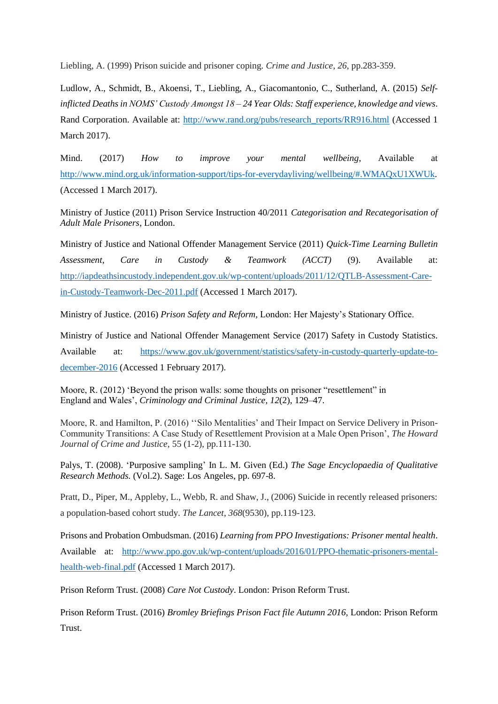Liebling, A. (1999) Prison suicide and prisoner coping. *Crime and Justice*, *26*, pp.283-359.

Ludlow, A., Schmidt, B., Akoensi, T., Liebling, A., Giacomantonio, C., Sutherland, A. (2015) *Selfinflicted Deaths in NOMS' Custody Amongst 18 – 24 Year Olds: Staff experience, knowledge and views*. Rand Corporation. Available at: [http://www.rand.org/pubs/research\\_reports/RR916.html](http://www.rand.org/pubs/research_reports/RR916.html) (Accessed 1) March 2017).

Mind. (2017) *How to improve your mental wellbeing*, Available at [http://www.mind.org.uk/information-support/tips-for-everydayliving/wellbeing/#.WMAQxU1XWUk.](http://www.mind.org.uk/information-support/tips-for-everydayliving/wellbeing/#.WMAQxU1XWUk) (Accessed 1 March 2017).

Ministry of Justice (2011) Prison Service Instruction 40/2011 *Categorisation and Recategorisation of Adult Male Prisoners*, London.

Ministry of Justice and National Offender Management Service (2011) *Quick-Time Learning Bulletin Assessment, Care in Custody & Teamwork (ACCT)* (9). Available at: [http://iapdeathsincustody.independent.gov.uk/wp-content/uploads/2011/12/QTLB-Assessment-Care](http://iapdeathsincustody.independent.gov.uk/wp-content/uploads/2011/12/QTLB-Assessment-Care-in-Custody-Teamwork-Dec-2011.pdf)[in-Custody-Teamwork-Dec-2011.pdf](http://iapdeathsincustody.independent.gov.uk/wp-content/uploads/2011/12/QTLB-Assessment-Care-in-Custody-Teamwork-Dec-2011.pdf) (Accessed 1 March 2017).

Ministry of Justice. (2016) *Prison Safety and Reform,* London: Her Majesty's Stationary Office.

Ministry of Justice and National Offender Management Service (2017) Safety in Custody Statistics. Available at: [https://www.gov.uk/government/statistics/safety-in-custody-quarterly-update-to](https://www.gov.uk/government/statistics/safety-in-custody-quarterly-update-to-december-2016)[december-2016](https://www.gov.uk/government/statistics/safety-in-custody-quarterly-update-to-december-2016) (Accessed 1 February 2017).

Moore, R. (2012) 'Beyond the prison walls: some thoughts on prisoner "resettlement" in England and Wales', *Criminology and Criminal Justice*, *12*(2), 129–47.

Moore, R. and Hamilton, P. (2016) ''Silo Mentalities' and Their Impact on Service Delivery in Prison-Community Transitions: A Case Study of Resettlement Provision at a Male Open Prison', *The Howard Journal of Crime and Justice,* 55 (1-2), pp.111-130.

Palys, T. (2008). 'Purposive sampling' In L. M. Given (Ed.) *The Sage Encyclopaedia of Qualitative Research Methods.* (Vol.2). Sage: Los Angeles, pp. 697-8.

Pratt, D., Piper, M., Appleby, L., Webb, R. and Shaw, J., (2006) Suicide in recently released prisoners: a population-based cohort study. *The Lancet*, *368*(9530), pp.119-123.

Prisons and Probation Ombudsman. (2016) *Learning from PPO Investigations: Prisoner mental health*. Available at: [http://www.ppo.gov.uk/wp-content/uploads/2016/01/PPO-thematic-prisoners-mental](http://www.ppo.gov.uk/wp-content/uploads/2016/01/PPO-thematic-prisoners-mental-health-web-final.pdf)[health-web-final.pdf](http://www.ppo.gov.uk/wp-content/uploads/2016/01/PPO-thematic-prisoners-mental-health-web-final.pdf) (Accessed 1 March 2017).

Prison Reform Trust. (2008) *Care Not Custody*. London: Prison Reform Trust.

Prison Reform Trust. (2016) *Bromley Briefings Prison Fact file Autumn 2016,* London: Prison Reform Trust.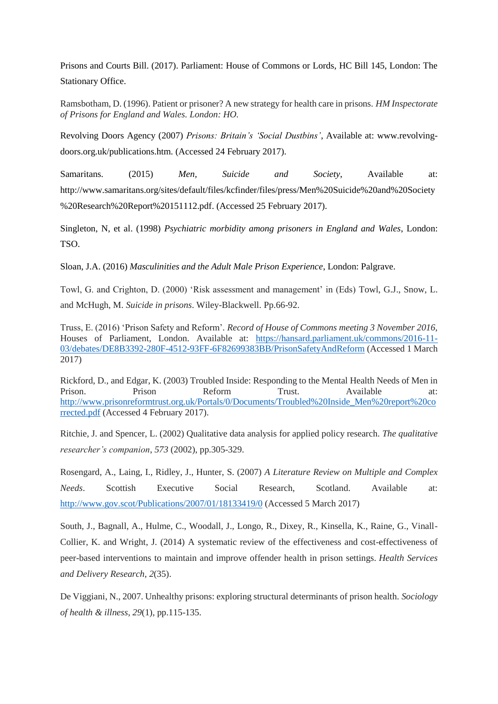Prisons and Courts Bill. (2017). Parliament: House of Commons or Lords, HC Bill 145, London: The Stationary Office.

Ramsbotham, D. (1996). Patient or prisoner? A new strategy for health care in prisons. *HM Inspectorate of Prisons for England and Wales. London: HO.*

Revolving Doors Agency (2007) *Prisons: Britain's 'Social Dustbins'*, Available at: [www.revolving](http://www.revolving-doors.org.uk/publications.htm)[doors.org.uk/publications.htm.](http://www.revolving-doors.org.uk/publications.htm) (Accessed 24 February 2017).

Samaritans. (2015) *Men, Suicide and Society*, Available at: [http://www.samaritans.org/sites/default/files/kcfinder/files/press/Men%20Suicide%20and%20Society](http://www.samaritans.org/sites/default/files/kcfinder/files/press/Men%20Suicide%20and%20Society%20Research%20Report%20151112.pdf) [%20Research%20Report%20151112.pdf.](http://www.samaritans.org/sites/default/files/kcfinder/files/press/Men%20Suicide%20and%20Society%20Research%20Report%20151112.pdf) (Accessed 25 February 2017).

Singleton, N, et al. (1998) *Psychiatric morbidity among prisoners in England and Wales*, London: TSO.

Sloan, J.A. (2016) *Masculinities and the Adult Male Prison Experience*, London: Palgrave.

Towl, G. and Crighton, D. (2000) 'Risk assessment and management' in (Eds) Towl, G.J., Snow, L. and McHugh, M. *Suicide in prisons*. Wiley-Blackwell. Pp.66-92.

Truss, E. (2016) 'Prison Safety and Reform'*. Record of House of Commons meeting 3 November 2016,*  Houses of Parliament, London. Available at: [https://hansard.parliament.uk/commons/2016-11-](https://hansard.parliament.uk/commons/2016-11-03/debates/DE8B3392-280F-4512-93FF-6F82699383BB/PrisonSafetyAndReform) [03/debates/DE8B3392-280F-4512-93FF-6F82699383BB/PrisonSafetyAndReform](https://hansard.parliament.uk/commons/2016-11-03/debates/DE8B3392-280F-4512-93FF-6F82699383BB/PrisonSafetyAndReform) (Accessed 1 March 2017)

Rickford, D., and Edgar, K. (2003) Troubled Inside: Responding to the Mental Health Needs of Men in Prison. Prison Reform Trust. Available at: [http://www.prisonreformtrust.org.uk/Portals/0/Documents/Troubled%20Inside\\_Men%20report%20co](http://www.prisonreformtrust.org.uk/Portals/0/Documents/Troubled%20Inside_Men%20report%20corrected.pdf) [rrected.pdf](http://www.prisonreformtrust.org.uk/Portals/0/Documents/Troubled%20Inside_Men%20report%20corrected.pdf) (Accessed 4 February 2017).

Ritchie, J. and Spencer, L. (2002) Qualitative data analysis for applied policy research. *The qualitative researcher's companion*, *573* (2002), pp.305-329.

Rosengard, A., Laing, I., Ridley, J., Hunter, S. (2007) *A Literature Review on Multiple and Complex Needs*. Scottish Executive Social Research, Scotland. Available at: <http://www.gov.scot/Publications/2007/01/18133419/0> (Accessed 5 March 2017)

South, J., Bagnall, A., Hulme, C., Woodall, J., Longo, R., Dixey, R., Kinsella, K., Raine, G., Vinall-Collier, K. and Wright, J. (2014) A systematic review of the effectiveness and cost-effectiveness of peer-based interventions to maintain and improve offender health in prison settings. *Health Services and Delivery Research*, *2*(35).

De Viggiani, N., 2007. Unhealthy prisons: exploring structural determinants of prison health. *Sociology of health & illness*, *29*(1), pp.115-135.